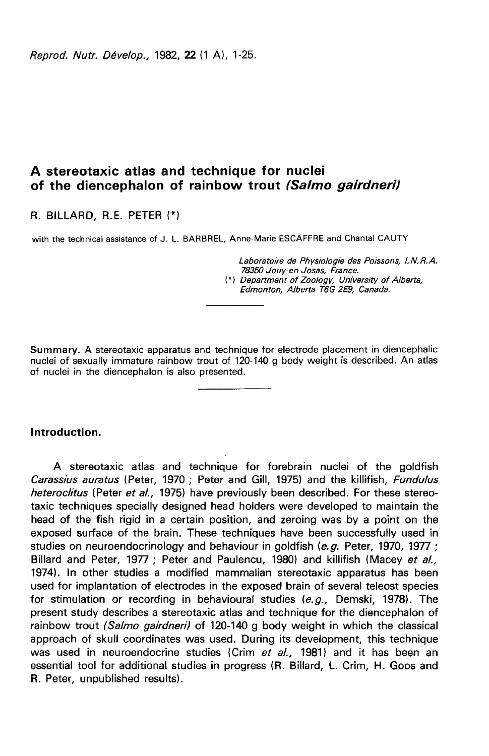Reprod. Nutr. Dévelop., 1982, 22 (1 A), 1-25.

# A stereotaxic atlas and technique for nuclei of the diencephalon of rainbow trout (Salmo gairdneri)

R. BILLARD, R.E. PETER

with the technical assistance of J. L. BARBREL, Anne-Marie ESCAFFRE and Chantal CAUTY

Laboratoire de Physiologie des Poissons, 1. N. R. A. 78350 Jouy-en-Josas, France. (\*) Department of Zoology, University of Alberta, Edmonton, Alberta T6G 2E9, Canada.

Summary. A stereotaxic apparatus and technique for electrode placement in diencephalic nuclei of sexually immature rainbow trout of 120-140 g body weight is described. An atlas of nuclei in the diencephalon is also presented.

## Introduction.

A stereotaxic atlas and technique for forebrain nuclei of the goldfish Carassius auratus (Peter, 1970 ; Peter and Gill, 1975) and the killifish, Fundulus heteroclitus (Peter et al., 1975) have previously been described. For these stereotaxic techniques specially designed head holders were developed to maintain the head of the fish rigid in a certain position, and zeroing was by a point on the exposed surface of the brain. These techniques have been successfully used in studies on neuroendocrinology and behaviour in goldfish (e.g. Peter, 1970, 1977 ; Billard and Peter, 1977 ; Peter and Paulencu, 1980) and killifish (Macey et al., 1974). In other studies a modified mammalian stereotaxic apparatus has been used for implantation of electrodes in the exposed brain of several teleost species for stimulation or recording in behavioural studies  $(e, q, z)$  Demski, 1978). The present study describes a stereotaxic atlas and technique for the diencephalon of rainbow trout (Salmo gairdneri) of 120-140 g body weight in which the classical approach of skull coordinates was used. During its development, this technique was used in neuroendocrine studies (Crim et al., 1981) and it has been an essential tool for additional studies in progress (R. Billard, L. Crim, H. Goos and R. Peter, unpublished results).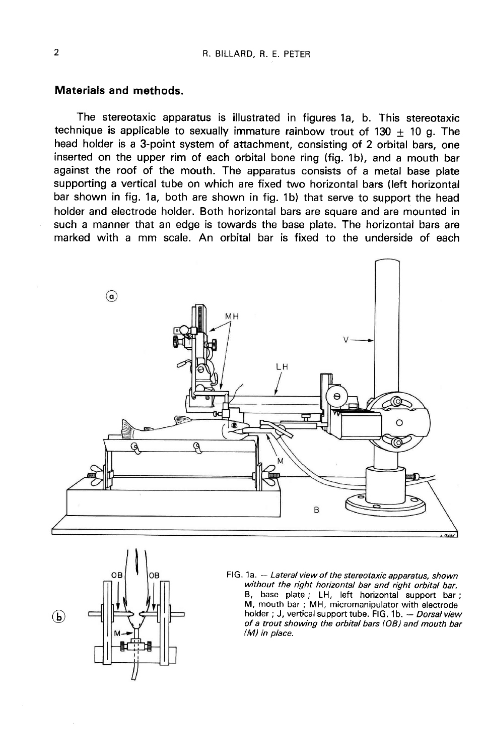## Materials and methods.

The stereotaxic apparatus is illustrated in figures 1a, b. This stereotaxic technique is applicable to sexually immature rainbow trout of 130  $\pm$  10 g. The head holder is a 3-point system of attachment, consisting of 2 orbital bars, one inserted on the upper rim of each orbital bone ring (fig. 1b), and a mouth bar against the roof of the mouth. The apparatus consists of a metal base plate supporting a vertical tube on which are fixed two horizontal bars (left horizontal bar shown in fig. 1a, both are shown in fig. 1b) that serve to support the head holder and electrode holder. Both horizontal bars are square and are mounted in such a manner that an edge is towards the base plate. The horizontal bars are marked with a mm scale. An orbital bar is fixed to the underside of each





FIG. 1a. - Lateral view of the stereotaxic apparatus, shown without the right horizontal bar and right orbital bar. B, base plate; LH, left horizontal support bar; M, mouth bar; MH, micromanipulator with electrode holder; J, vertical support tube. FIG. 1b. - Dorsal view of a trout showing the orbital bars (OB) and mouth bar  $(M)$  in place.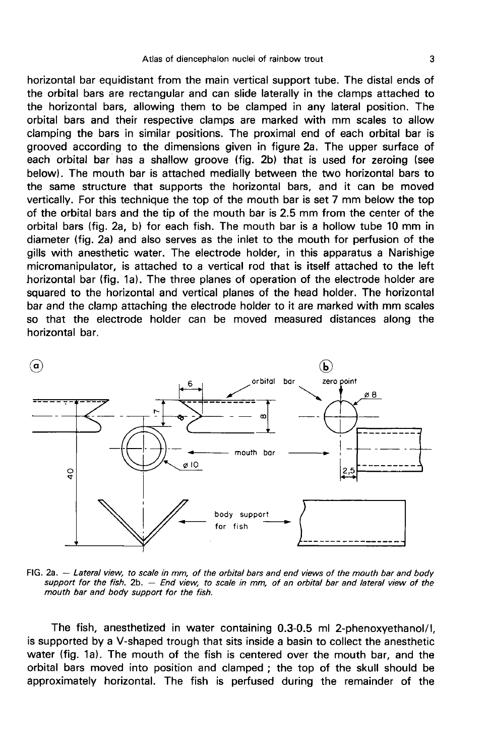horizontal bar equidistant from the main vertical support tube. The distal ends of the orbital bars are rectangular and can slide laterally in the clamps attached to the horizontal bars, allowing them to be clamped in any lateral position. The orbital bars and their respective clamps are marked with mm scales to allow clamping the bars in similar positions. The proximal end of each orbital bar is grooved according to the dimensions given in figure 2a. The upper surface of each orbital bar has a shallow groove (fig. 2b) that is used for zeroing (see below). The mouth bar is attached medially between the two horizontal bars to the same structure that supports the horizontal bars, and it can be moved vertically. For this technique the top of the mouth bar is set 7 mm below the top of the orbital bars and the tip of the mouth bar is 2.5 mm from the center of the orbital bars (fig. 2a, b) for each fish. The mouth bar is a hollow tube 10 mm in diameter (fig. 2a) and also serves as the inlet to the mouth for perfusion of the gills with anesthetic water. The electrode holder, in this apparatus a Narishige micromanipulator, is attached to a vertical rod that is itself attached to the left horizontal bar (fig. 1a). The three planes of operation of the electrode holder are squared to the horizontal and vertical planes of the head holder. The horizontal bar and the clamp attaching the electrode holder to it are marked with mm scales so that the electrode holder can be moved measured distances along the horizontal bar.



FIG. 2a. - Lateral view, to scale in mm, of the orbital bars and end views of the mouth bar and body support for the fish. 2b. - End view, to scale in mm, of an orbital bar and lateral view of the mouth bar and body support for the fish.

The fish, anesthetized in water containing 0.3-0.5 ml 2-phenoxyethanol/l, is supported by a V-shaped trough that sits inside a basin to collect the anesthetic water (fig. 1a). The mouth of the fish is centered over the mouth bar, and the orbital bars moved into position and clamped ; the top of the skull should be approximately horizontal. The fish is perfused during the remainder of the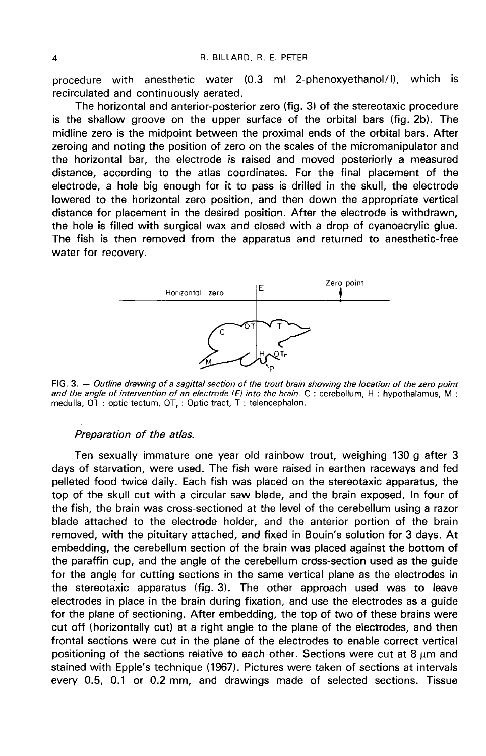procedure with anesthetic water (0.3 ml 2-phenoxyethanol/1), which is recirculated and continuously aerated.

The horizontal and anterior-posterior zero (fig. 3) of the stereotaxic procedure is the shallow groove on the upper surface of the orbital bars (fig. 2b). The midline zero is the midpoint between the proximal ends of the orbital bars. After zeroing and noting the position of zero on the scales of the micromanipulator and the horizontal bar, the electrode is raised and moved posteriorly a measured distance, according to the atlas coordinates. For the final placement of the electrode, a hole big enough for it to pass is drilled in the skull, the electrode lowered to the horizontal zero position, and then down the appropriate vertical distance for placement in the desired position. After the electrode is withdrawn, the hole is filled with surgical wax and closed with a drop of cyanoacrylic glue. The fish is then removed from the apparatus and returned to anesthetic-free water for recovery.



FIG, 3. - Outline drawing of a sagittal section of the trout brain showing the location of the zero point and the angle of intervention of an electrode (E) into the brain.  $C$ : cerebellum, H: hypothalamus, M: medulla, OT : optic tectum, OT, : Optic tract, T : telencephalon.

### Preparation of the atlas.

Ten sexually immature one year old rainbow trout, weighing 130 g after 3 days of starvation, were used. The fish were raised in earthen raceways and fed pelleted food twice daily. Each fish was placed on the stereotaxic apparatus, the top of the skull cut with a circular saw blade, and the brain exposed. In four of the fish, the brain was cross-sectioned at the level of the cerebellum using a razor blade attached to the electrode holder, and the anterior portion of the brain removed, with the pituitary attached, and fixed in Bouin's solution for 3 days. At embedding, the cerebellum section of the brain was placed against the bottom of the paraffin cup, and the angle of the cerebellum crdss-section used as the guide for the angle for cutting sections in the same vertical plane as the electrodes in the stereotaxic apparatus (fig. 3). The other approach used was to leave electrodes in place in the brain during fixation, and use the electrodes as a guide for the plane of sectioning. After embedding, the top of two of these brains were cut off (horizontally cut) at a right angle to the plane of the electrodes, and then frontal sections were cut in the plane of the electrodes to enable correct vertical positioning of the sections relative to each other. Sections were cut at  $8 \mu m$  and stained with Epple's technique (1967). Pictures were taken of sections at intervals every 0.5, 0.1 or 0.2 mm, and drawings made of selected sections. Tissue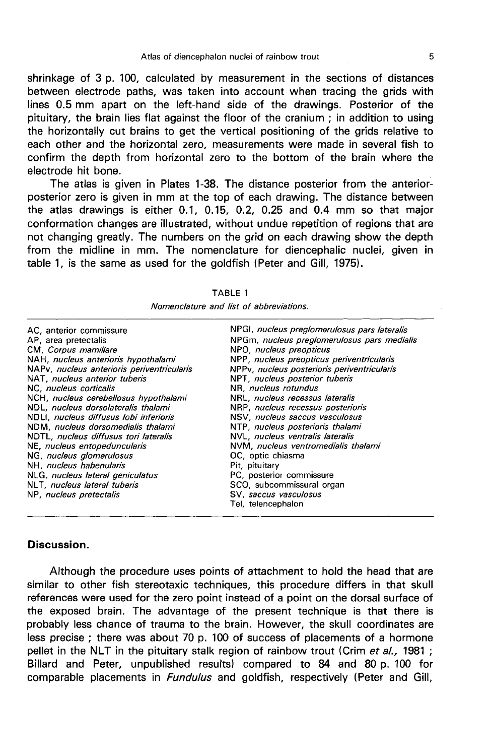shrinkage of 3 p. 100, calculated by measurement in the sections of distances between electrode paths, was taken into account when tracing the grids with lines 0.5 mm apart on the left-hand side of the drawings. Posterior of the pituitary, the brain lies flat against the floor of the cranium ; in addition to using the horizontally cut brains to get the vertical positioning of the grids relative to each other and the horizontal zero, measurements were made in several fish to confirm the depth from horizontal zero to the bottom of the brain where the electrode hit bone.

The atlas is given in Plates 1-38. The distance posterior from the anteriorposterior zero is given in mm at the top of each drawing. The distance between the atlas drawings is either 0.1, 0.15, 0.2, 0.25 and 0.4 mm so that major conformation changes are illustrated, without undue repetition of regions that are not changing greatly. The numbers on the grid on each drawing show the depth from the midline in mm. The nomenclature for diencephalic nuclei, given in table 1, is the same as used for the goldfish (Peter and Gill, 1975).

| NPGI, nucleus preglomerulosus pars lateralis |
|----------------------------------------------|
| NPGm, nucleus preglomerulosus pars medialis  |
| NPO, nucleus preopticus                      |
| NPP, nucleus preopticus periventricularis    |
| NPPv, nucleus posterioris periventricularis  |
| NPT, nucleus posterior tuberis               |
| NR. nucleus rotundus                         |
| NRL, nucleus recessus lateralis              |
| NRP, nucleus recessus posterioris            |
| NSV. nucleus saccus vasculosus               |
| NTP, nucleus posterioris thalami             |
| NVL, nucleus ventralis lateralis             |
| NVM, nucleus ventromedialis thalami          |
| OC, optic chiasma                            |
| Pit, pituitary                               |
| PC, posterior commissure                     |
| SCO, subcommissural organ                    |
| SV, saccus vasculosus                        |
| Tel, telencephalon                           |
|                                              |

| <br>、n |  | RΙ |  |  |
|--------|--|----|--|--|
|--------|--|----|--|--|

Nomenclature and list of abbreviations.

## Discussion.

Although the procedure uses points of attachment to hold the head that are similar to other fish stereotaxic techniques, this procedure differs in that skull references were used for the zero point instead of a point on the dorsal surface of the exposed brain. The advantage of the present technique is that there is probably less chance of trauma to the brain. However, the skull coordinates are less precise ; there was about 70 p. 100 of success of placements of a hormone pellet in the NLT in the pituitary stalk region of rainbow trout (Crim et al., 1981; Billard and Peter, unpublished results) compared to 84 and 80 p. 100 for comparable placements in *Fundulus* and goldfish, respectively (Peter and Gill,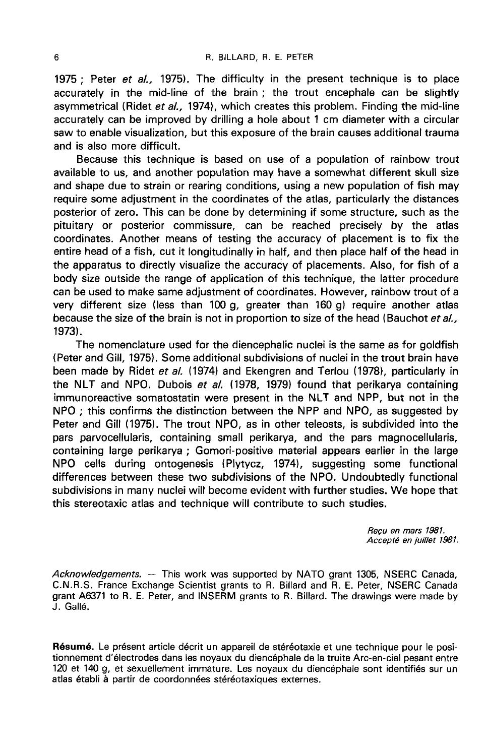1975 ; Peter et al., 1975). The difficulty in the present technique is to place accurately in the mid-line of the brain ; the trout encephale can be slightly asymmetrical (Ridet et al., 1974), which creates this problem. Finding the mid-line accurately can be improved by drilling a hole about 1 cm diameter with a circular saw to enable visualization, but this exposure of the brain causes additional trauma and is also more difficult.

Because this technique is based on use of a population of rainbow trout available to us, and another population may have a somewhat different skull size and shape due to strain or rearing conditions, using a new population of fish may require some adjustment in the coordinates of the atlas, particularly the distances posterior of zero. This can be done by determining if some structure, such as the pituitary or posterior commissure, can be reached precisely by the atlas coordinates. Another means of testing the accuracy of placement is to fix the entire head of a fish, cut it longitudinally in half, and then place half of the head in the apparatus to directly visualize the accuracy of placements. Also, for fish of a body size outside the range of application of this technique, the latter procedure can be used to make same adjustment of coordinates. However, rainbow trout of a very different size (less than 100 g, greater than 160 g) require another atlas because the size of the brain is not in proportion to size of the head (Bauchot et al., 1973).

The nomenclature used for the diencephalic nuclei is the same as for goldfish (Peter and Gill, 1975). Some additional subdivisions of nuclei in the trout brain have been made by Ridet et al. (1974) and Ekengren and Terlou (1978), particularly in the NLT and NPO. Dubois et al. (1978, 1979) found that perikarya containing immunoreactive somatostatin were present in the NLT and NPP, but not in the NPO ; this confirms the distinction between the NPP and NPO, as suggested by Peter and Gill (1975). The trout NPO, as in other teleosts, is subdivided into the pars parvocellularis, containing small perikarya, and the pars magnocellularis, containing large perikarya ; Gomori-positive material appears earlier in the large NPO cells during ontogenesis (Plytycz, 1974), suggesting some functional differences between these two subdivisions of the NPO. Undoubtedly functional subdivisions in many nuclei will become evident with further studies. We hope that this stereotaxic atlas and technique will contribute to such studies.

> Recu en mars 1981. Accept6 en juillet 1981.

Acknowledgements.  $-$  This work was supported by NATO grant 1305, NSERC Canada, C.N.R.S. France Exchange Scientist grants to R. Billard and R. E. Peter, NSERC Canada grant A6371 to R. E. Peter, and INSERM grants to R. Billard. The drawings were made by J. Galle.

Résumé. Le présent article décrit un appareil de stéréotaxie et une technique pour le positionnement d'électrodes dans les noyaux du diencéphale de la truite Arc-en-ciel pesant entre 120 et 140 g, et sexuellement immature. Les noyaux du diencéphale sont identifiés sur un atlas établi à partir de coordonnées stéréotaxiques externes.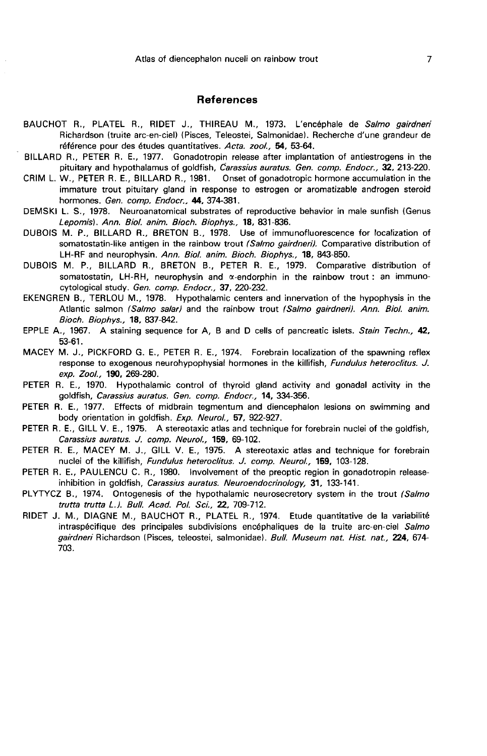#### References

- BAUCHOT R., PLATEL R., RIDET J., THIREAU M., 1973. L'encéphale de Salmo gairdneri Richardson (truite arc-en-ciel) (Pisces, Teleostei, Salmonidael. Recherche d'une grandeur de référence pour des études quantitatives. Acta. zool., 54, 53-64.
- BILLARD R., PETER R. E., 1977. Gonadotropin release after implantation of antiestrogens in the pituitary and hypothalamus of goldfish, Carassius auratus. Gen. comp. Endocr., 32, 213-220.
- CRIM L. W., PETER R. E., BILLARD R., 1981. Onset of gonadotropic hormone accumulation in the immature trout pituitary gland in response to estrogen or aromatizable androgen steroid hormones. Gen. comp. Endocr., 44, 374-381.
- DEMSKI L. S., 1978. Neuroanatomical substrates of reproductive behavior in male sunfish (Genus Lepomisl. Ann. Biol. anim. Bioch. Biophys., 18, 831-836.
- DUBOIS M. P., BILLARD R., BRETON B., 1978. Use of immunofluorescence for localization of somatostatin-like antigen in the rainbow trout (Salmo gairdneri). Comparative distribution of LH-RF and neurophysin. Ann. Biol. anim. Bioch. Biophys., 18, 843-850.
- DUBOIS M. P., BILLARD R., BRETON B., PETER R. E., 1979. Comparative distribution of somatostatin, LH-RH, neurophysin and  $\alpha$ -endorphin in the rainbow trout : an immunocytological study. Gen. comp. Endocr., 37, 220-232.
- EKENGREN B., TERLOU M., 1978. Hypothalamic centers and innervation of the hypophysis in the Atlantic salmon (Salmo salar) and the rainbow trout (Salmo gairdneri). Ann. Biol. anim. Bioch. Biophys., 18, 837-842.
- EPPLE A., 1967. A staining sequence for A, B and D cells of pancreatic islets. Stain Techn., 42, 53-61.
- MACEY M. J., PICKFORD G. E., PETER R. E., 1974. Forebrain localization of the spawning reflex response to exogenous neurohypophysial hormones in the killifish, *Fundulus heteroclitus. J.* exp. Zool., 190, 269-280.
- PETER R. E., 1970. Hypothalamic control of thyroid gland activity and gonadal activity in the goldfish, Carassius auratus. Gen. comp. Endocr., 14, 334-356.
- PETER R. E., 1977. Effects of midbrain tegmentum and diencephalon lesions on swimming and body orientation in goldfish. Exp. Neurol., 57, 922-927.
- PETER R. E., GILL V. E., 1975. A stereotaxic atlas and technique for forebrain nuclei of the goldfish, Carassius auratus. J. comp. Neurol., 159, 69-102.
- PETER R. E., MACEY M. J., GILL V. E., 1975. A stereotaxic atlas and technique for forebrain nuclei of the killifish, Fundulus heteroclitus. J. comp. Neurol., 159, 103-128.
- PETER R. E., PAULENCU C. R., 1980. Involvement of the preoptic region in gonadotropin releaseinhibition in goldfish, Carassius auratus. Neuroendocrinology, 31, 133-141.
- PLYTYCZ B., 1974. Ontogenesis of the hypothalamic neurosecretory system in the trout (Salmo trutta trutta L.). Bull. Acad. PoL Sci., 22, 709-712.
- RIDET J. M., DIAGNE M., BAUCHOT R., PLATEL R., 1974. Etude quantitative de la variabilité intraspécifique des principales subdivisions encéphaliques de la truite arc-en-ciel Salmo gairdneri Richardson (Pisces, teleostei, salmonidae). Bull. Museum nat. Hist. nat., 224, 674-703.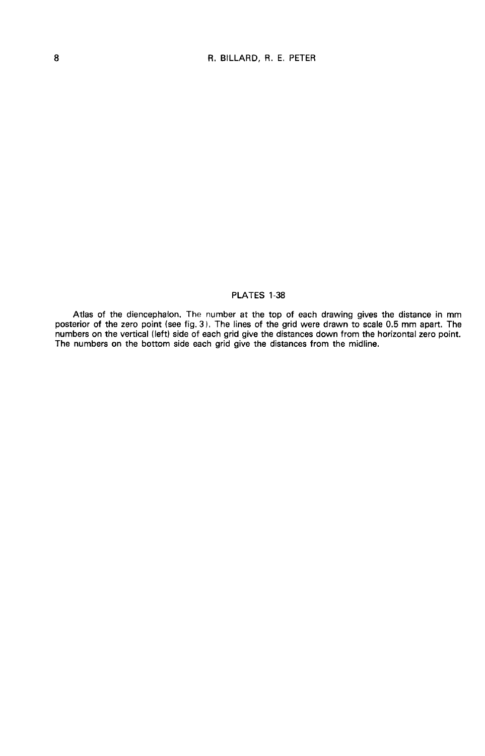## PLATES 1-38

Atlas of the diencephalon. The number at the top of each drawing gives the distance in mm<br>posterior of the zero point (see fig. 3). The lines of the grid were drawn to scale 0.5 mm apart. The<br>numbers on the vertical (left) The numbers on the bottom side each grid give the distances from the midline.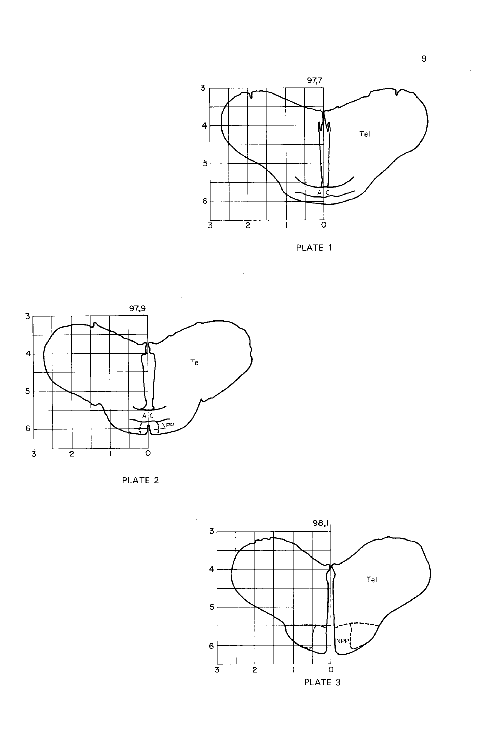









÷.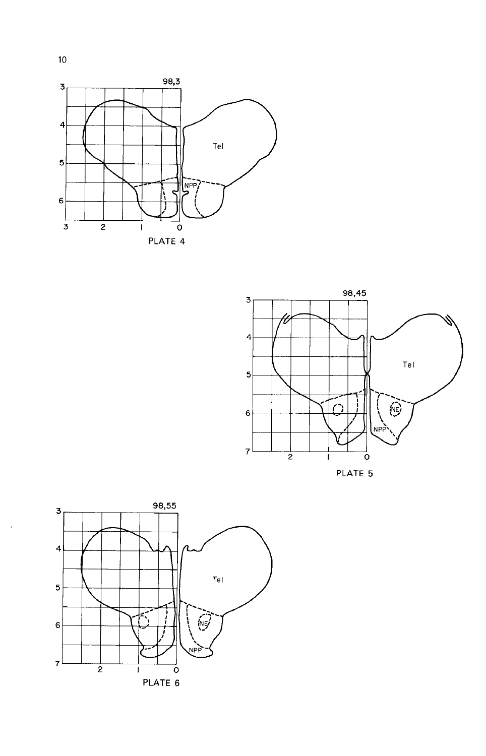



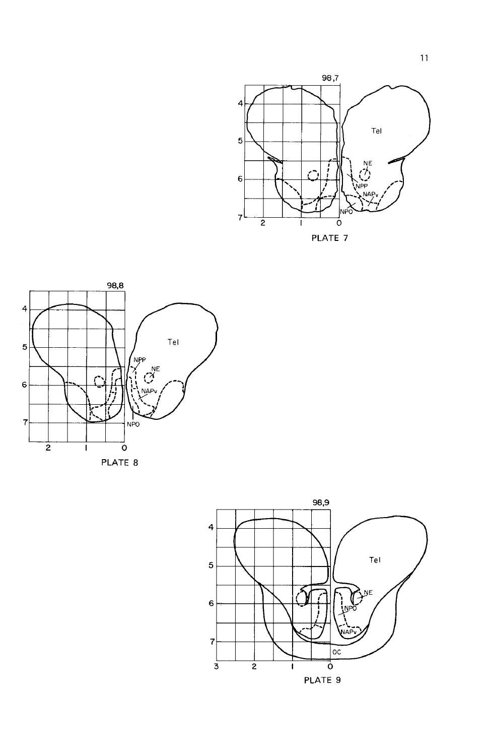



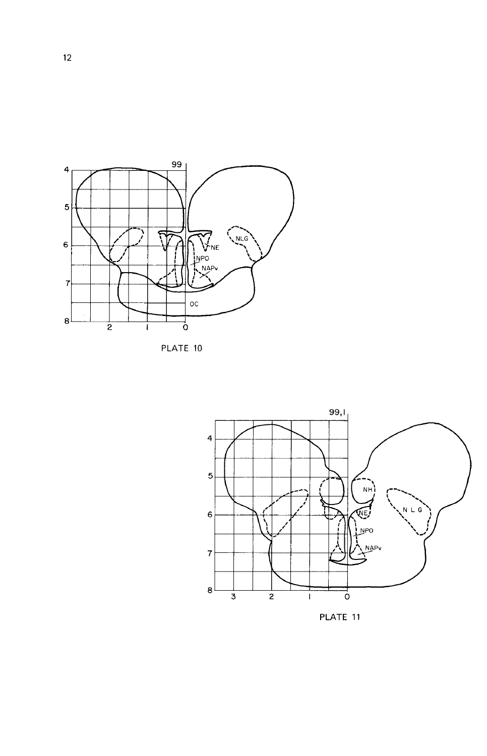





PLATE 11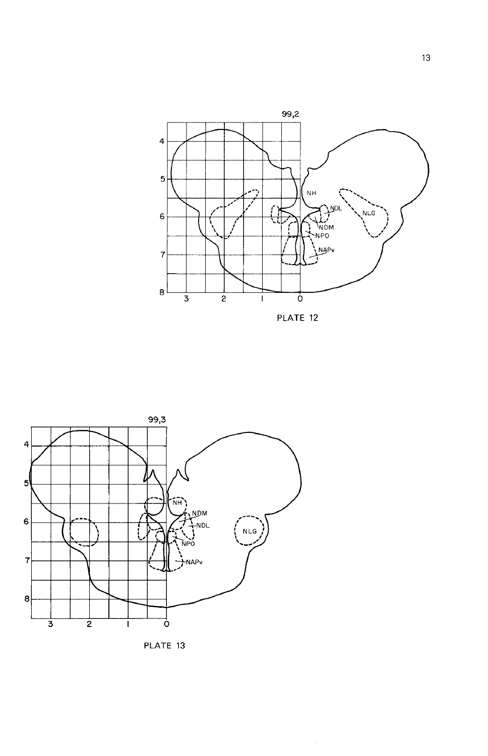

PLATE 12

 $\mathcal{A}^{\pm}$ 





 $13$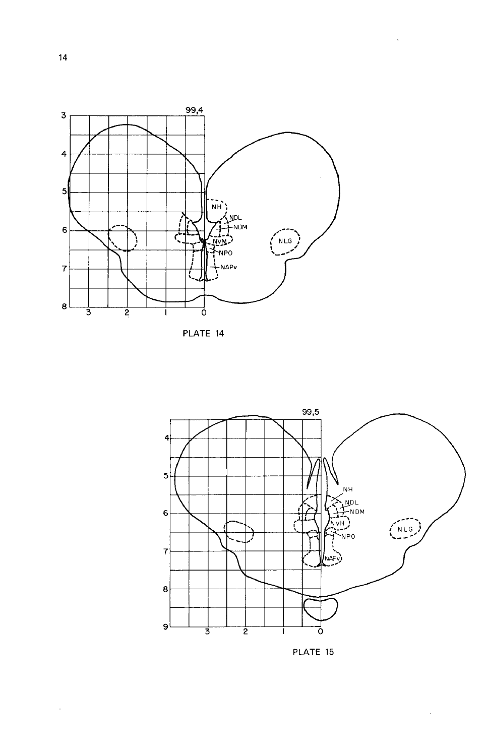





 $\ddot{\phantom{0}}$ 

PLATE 15

 $\sim$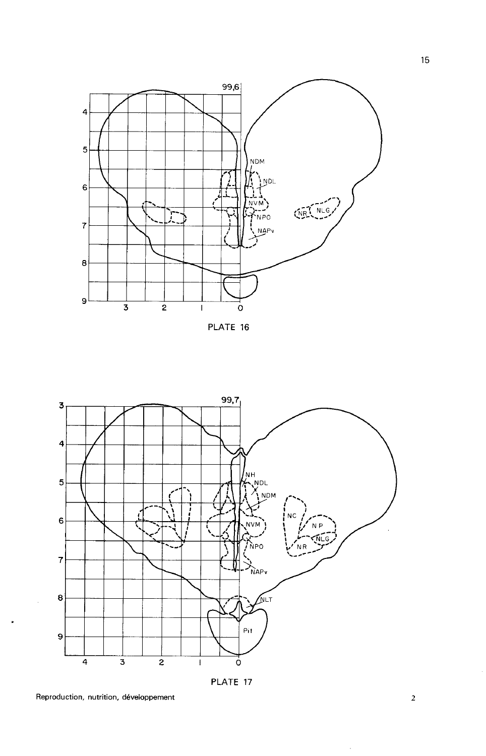





PLATE 17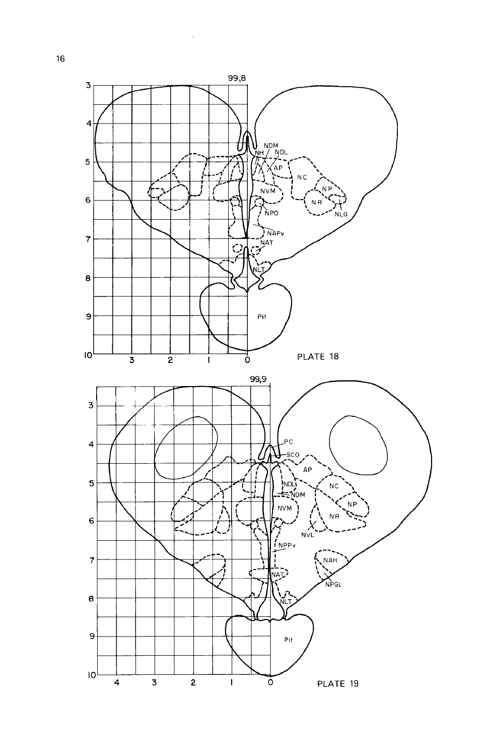

 $\ddot{\phantom{a}}$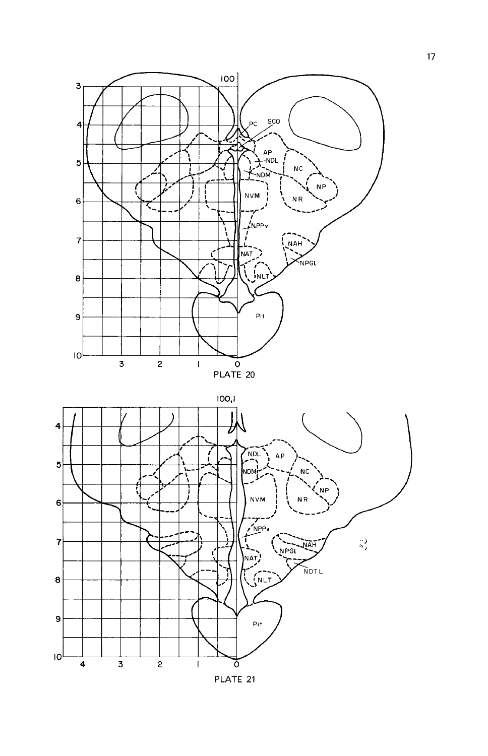



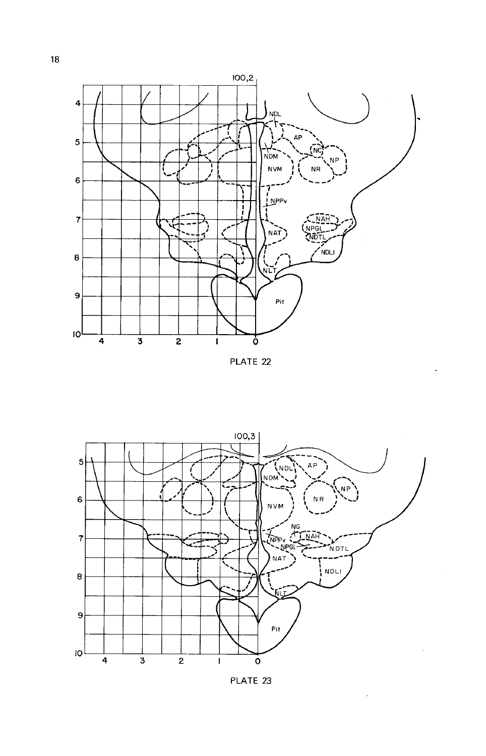





PLATE 23

 $\bar{z}$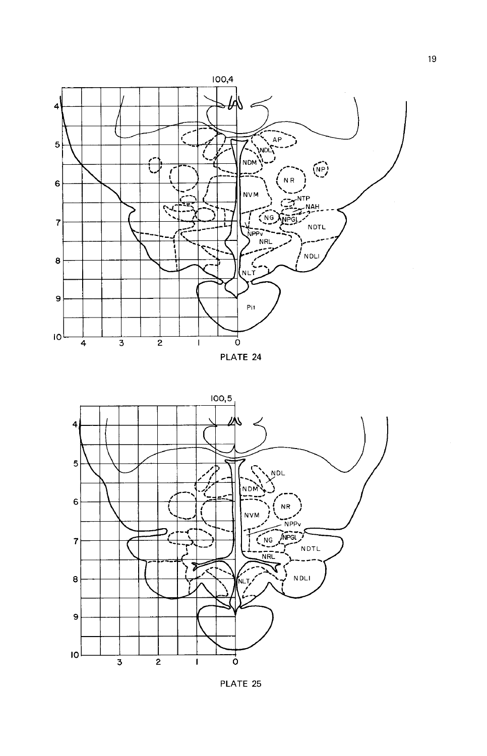





PLATE 25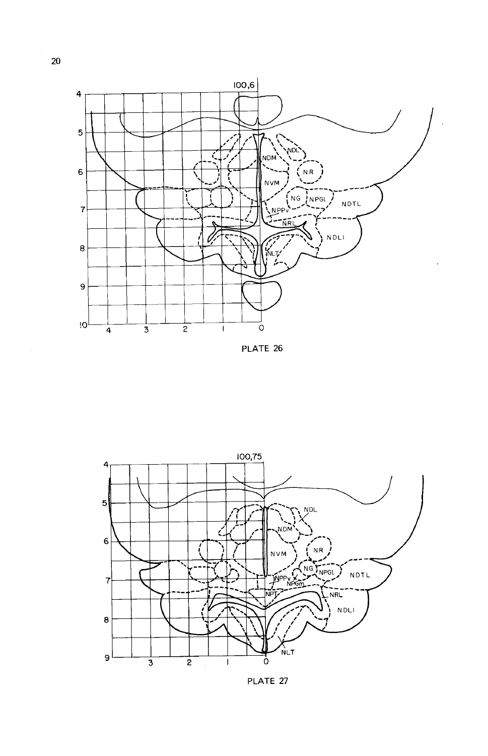

PLATE 26



PLATE 27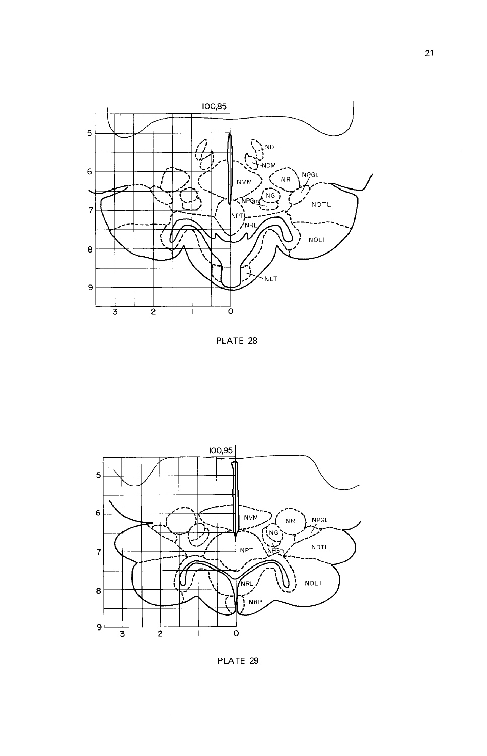





PLATE 29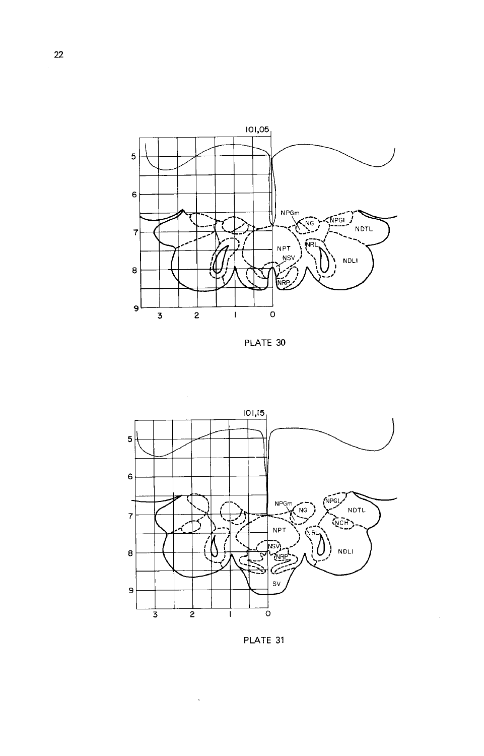





 $\ddot{\phantom{a}}$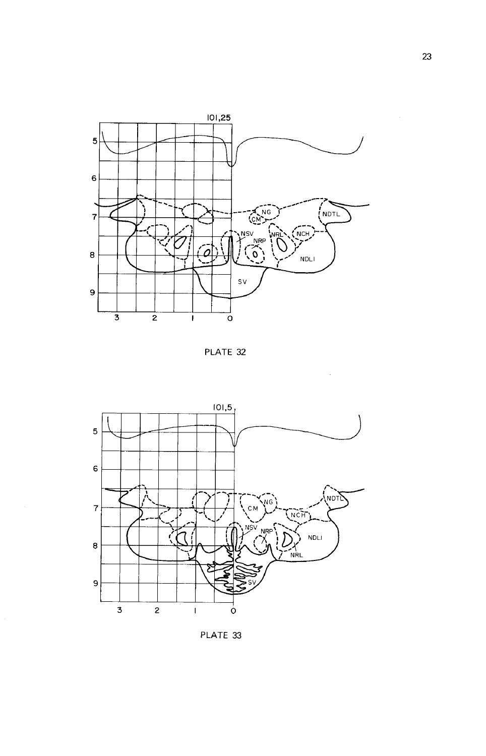





PLATE 33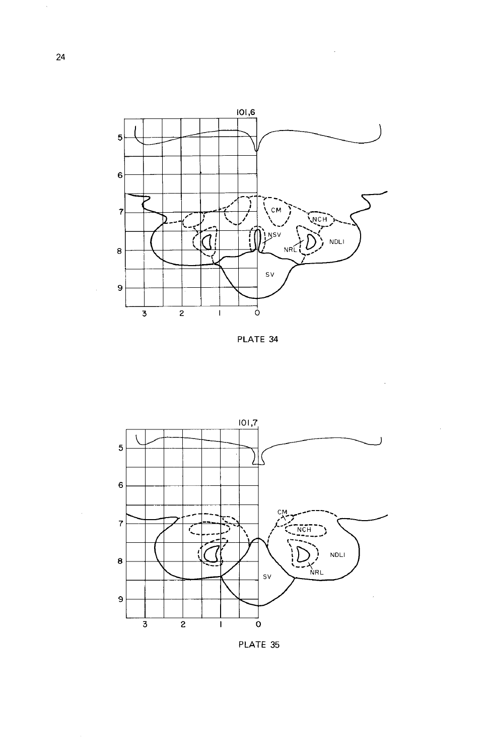